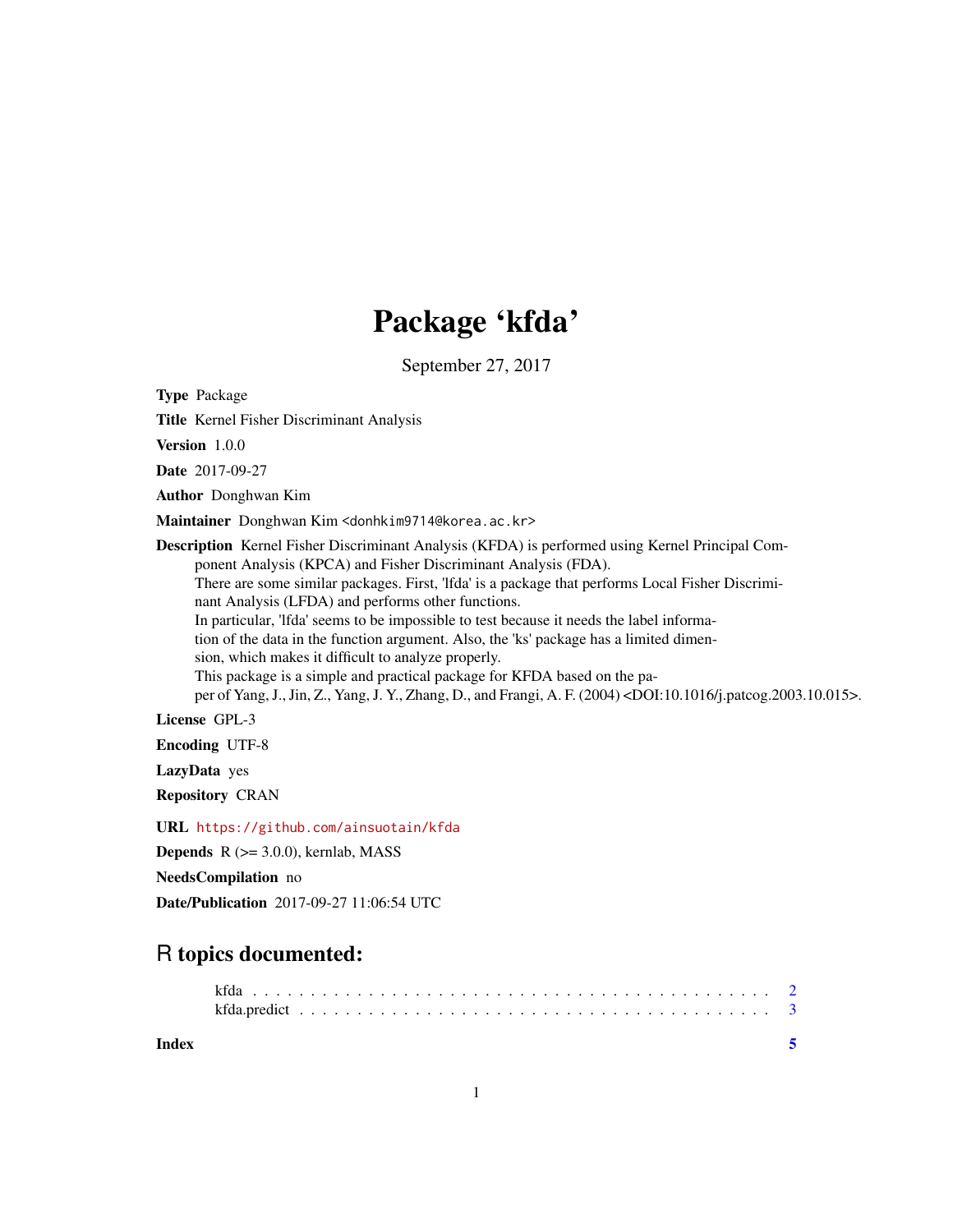# Package 'kfda'

September 27, 2017

<span id="page-0-0"></span>Type Package

Title Kernel Fisher Discriminant Analysis

Version 1.0.0

Date 2017-09-27

Author Donghwan Kim

Maintainer Donghwan Kim <donhkim9714@korea.ac.kr>

Description Kernel Fisher Discriminant Analysis (KFDA) is performed using Kernel Principal Component Analysis (KPCA) and Fisher Discriminant Analysis (FDA). There are some similar packages. First, 'lfda' is a package that performs Local Fisher Discriminant Analysis (LFDA) and performs other functions. In particular, 'lfda' seems to be impossible to test because it needs the label information of the data in the function argument. Also, the 'ks' package has a limited dimension, which makes it difficult to analyze properly. This package is a simple and practical package for KFDA based on the paper of Yang, J., Jin, Z., Yang, J. Y., Zhang, D., and Frangi, A. F. (2004) <DOI:10.1016/j.patcog.2003.10.015>. License GPL-3 Encoding UTF-8

LazyData yes

Repository CRAN

URL <https://github.com/ainsuotain/kfda>

**Depends**  $R$  ( $>= 3.0.0$ ), kernlab, MASS

NeedsCompilation no

Date/Publication 2017-09-27 11:06:54 UTC

# R topics documented:

| Index |      |  |  |  |  |  |  |  |  |  |  |  |  |  |  |  |  |  |  |  |
|-------|------|--|--|--|--|--|--|--|--|--|--|--|--|--|--|--|--|--|--|--|
|       |      |  |  |  |  |  |  |  |  |  |  |  |  |  |  |  |  |  |  |  |
|       | kfda |  |  |  |  |  |  |  |  |  |  |  |  |  |  |  |  |  |  |  |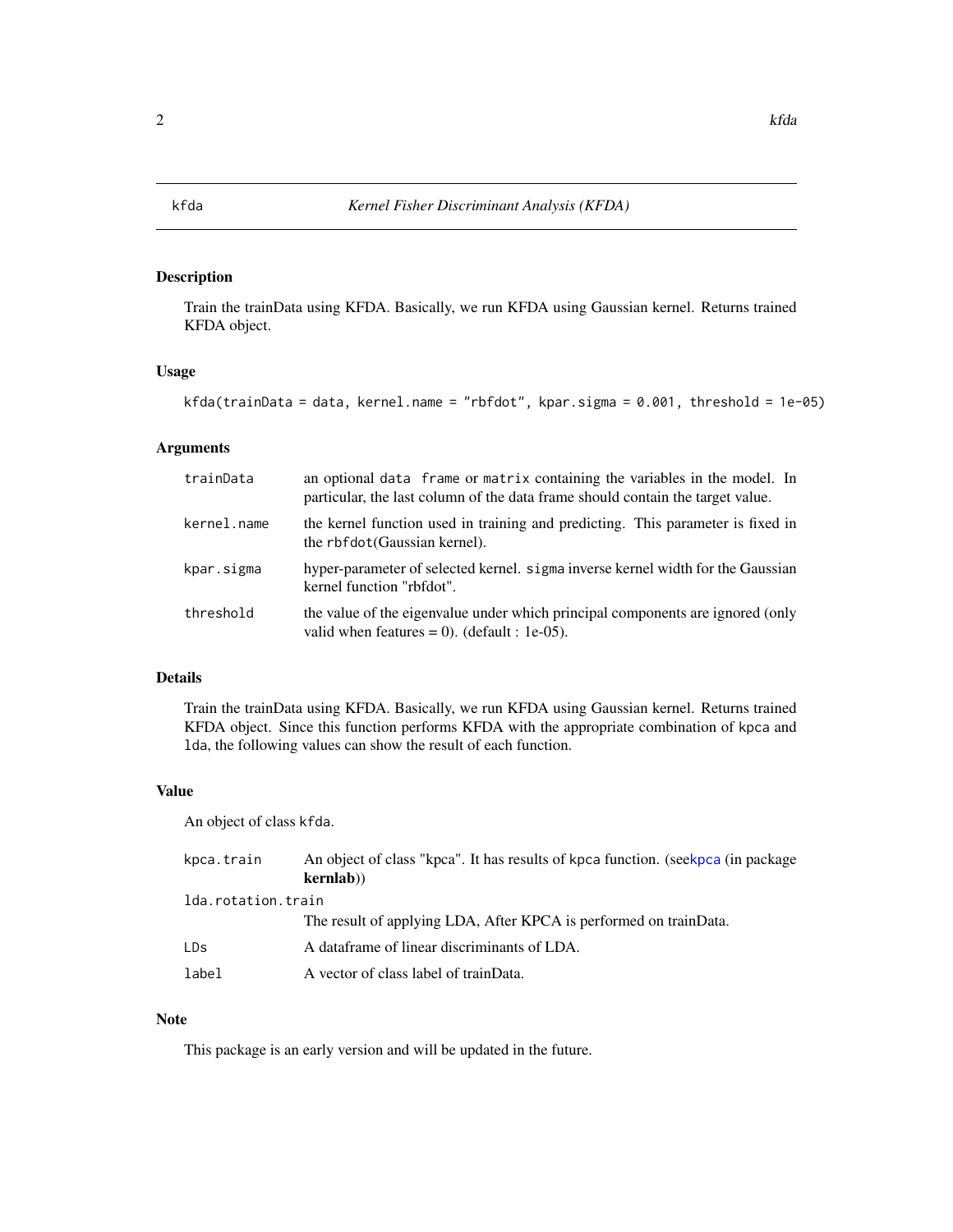<span id="page-1-1"></span><span id="page-1-0"></span>

# Description

Train the trainData using KFDA. Basically, we run KFDA using Gaussian kernel. Returns trained KFDA object.

# Usage

```
kfda(trainData = data, kernel.name = "rbfdot", kpar.sigma = 0.001, threshold = 1e-05)
```
#### Arguments

| trainData   | an optional data frame or matrix containing the variables in the model. In<br>particular, the last column of the data frame should contain the target value. |
|-------------|--------------------------------------------------------------------------------------------------------------------------------------------------------------|
| kernel.name | the kernel function used in training and predicting. This parameter is fixed in<br>the rbfdot(Gaussian kernel).                                              |
| kpar.sigma  | hyper-parameter of selected kernel. sigma inverse kernel width for the Gaussian<br>kernel function "rbfdot".                                                 |
| threshold   | the value of the eigenvalue under which principal components are ignored (only<br>valid when features = 0). (default : 1e-05).                               |

# Details

Train the trainData using KFDA. Basically, we run KFDA using Gaussian kernel. Returns trained KFDA object. Since this function performs KFDA with the appropriate combination of kpca and lda, the following values can show the result of each function.

#### Value

An object of class kfda.

| kpca.train         | An object of class "kpca". It has results of kpca function. (seekpca (in package<br>kernlab) |  |  |  |  |  |
|--------------------|----------------------------------------------------------------------------------------------|--|--|--|--|--|
| lda.rotation.train |                                                                                              |  |  |  |  |  |
|                    | The result of applying LDA, After KPCA is performed on trainData.                            |  |  |  |  |  |
| LDs.               | A dataframe of linear discriminants of LDA.                                                  |  |  |  |  |  |
| label              | A vector of class label of trainData.                                                        |  |  |  |  |  |

# Note

This package is an early version and will be updated in the future.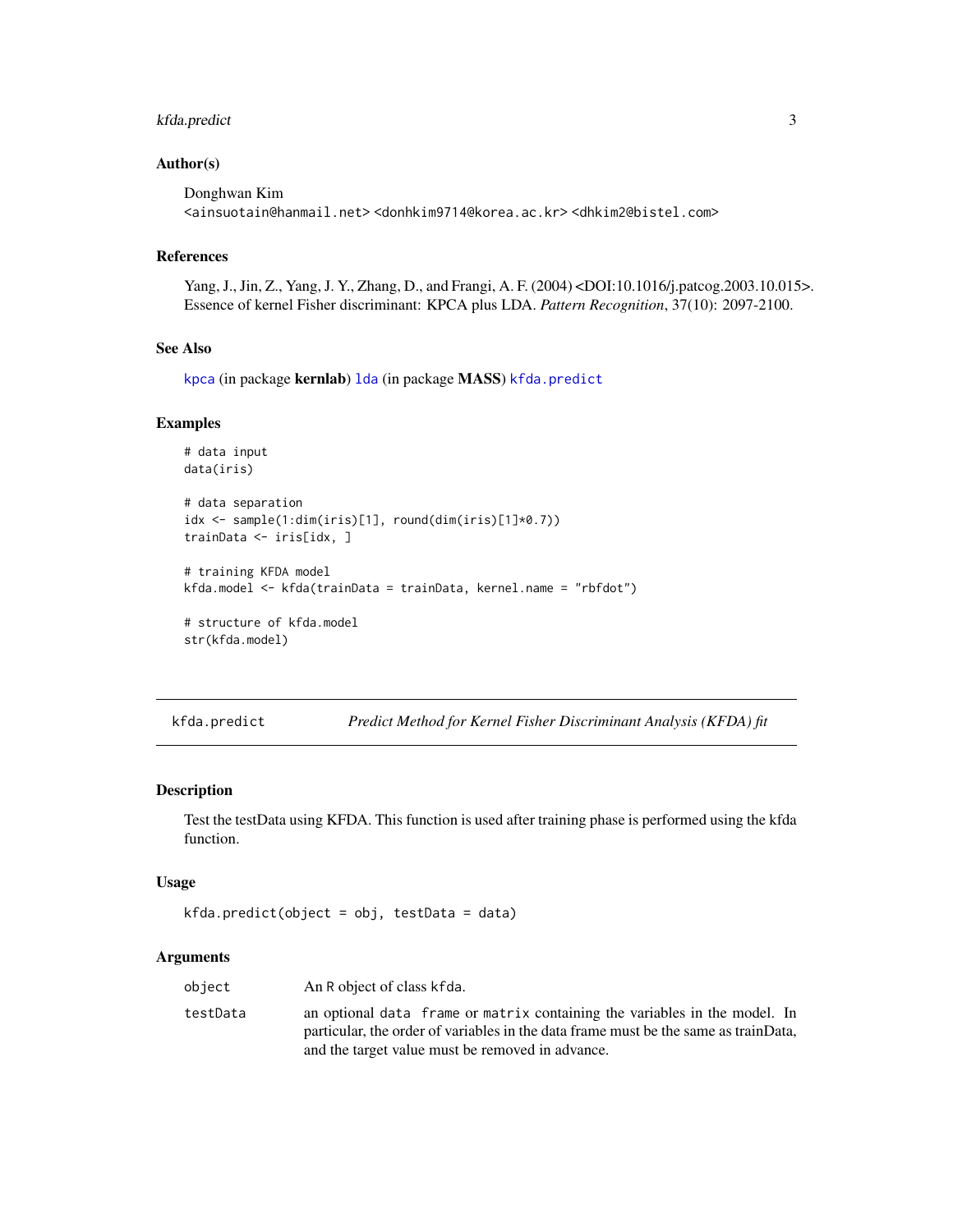# <span id="page-2-0"></span>kfda.predict 3

# Author(s)

```
Donghwan Kim
<ainsuotain@hanmail.net> <donhkim9714@korea.ac.kr> <dhkim2@bistel.com>
```
#### References

Yang, J., Jin, Z., Yang, J. Y., Zhang, D., and Frangi, A. F. (2004) <DOI:10.1016/j.patcog.2003.10.015>. Essence of kernel Fisher discriminant: KPCA plus LDA. *Pattern Recognition*, 37(10): 2097-2100.

#### See Also

[kpca](#page-0-0) (in package kernlab) 1da (in package MASS) [kfda.predict](#page-2-1)

#### Examples

```
# data input
data(iris)
# data separation
idx <- sample(1:dim(iris)[1], round(dim(iris)[1]*0.7))
trainData <- iris[idx, ]
# training KFDA model
kfda.model <- kfda(trainData = trainData, kernel.name = "rbfdot")
# structure of kfda.model
str(kfda.model)
```
<span id="page-2-1"></span>kfda.predict *Predict Method for Kernel Fisher Discriminant Analysis (KFDA) fit*

#### Description

Test the testData using KFDA. This function is used after training phase is performed using the kfda function.

#### Usage

```
kfda.predict(object = obj, testData = data)
```
#### Arguments

| object   | An R object of class kfda.                                                                                                                                                                                            |
|----------|-----------------------------------------------------------------------------------------------------------------------------------------------------------------------------------------------------------------------|
| testData | an optional data frame or matrix containing the variables in the model. In<br>particular, the order of variables in the data frame must be the same as trainData,<br>and the target value must be removed in advance. |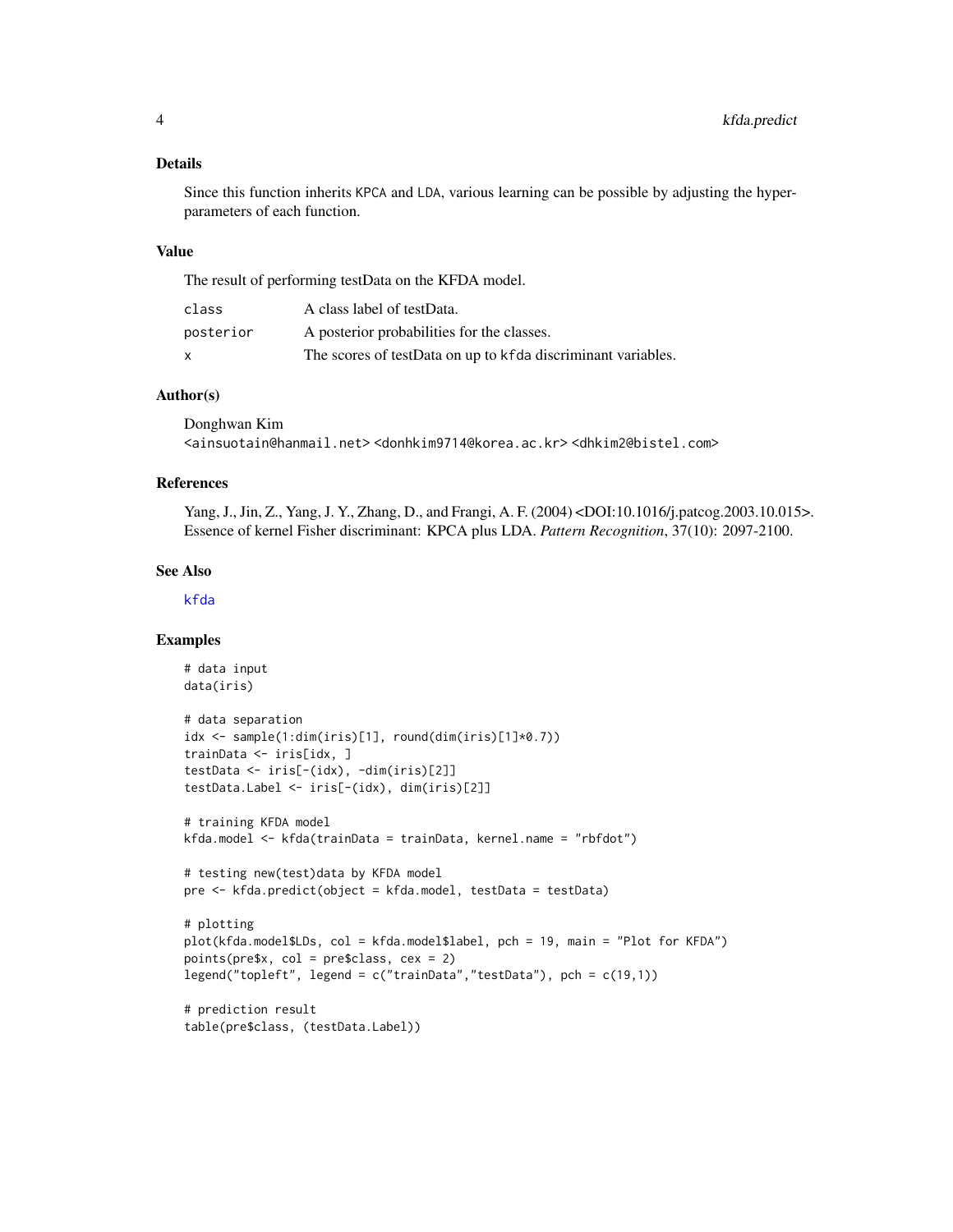#### <span id="page-3-0"></span>Details

Since this function inherits KPCA and LDA, various learning can be possible by adjusting the hyperparameters of each function.

#### Value

The result of performing testData on the KFDA model.

| class     | A class label of testData.                                   |
|-----------|--------------------------------------------------------------|
| posterior | A posterior probabilities for the classes.                   |
| X         | The scores of testData on up to kfda discriminant variables. |

# Author(s)

Donghwan Kim <ainsuotain@hanmail.net> <donhkim9714@korea.ac.kr> <dhkim2@bistel.com>

#### References

Yang, J., Jin, Z., Yang, J. Y., Zhang, D., and Frangi, A. F. (2004) <DOI:10.1016/j.patcog.2003.10.015>. Essence of kernel Fisher discriminant: KPCA plus LDA. *Pattern Recognition*, 37(10): 2097-2100.

#### See Also

[kfda](#page-1-1)

#### Examples

```
# data input
data(iris)
# data separation
idx <- sample(1:dim(iris)[1], round(dim(iris)[1]*0.7))
trainData <- iris[idx, ]
testData <- iris[-(idx), -dim(iris)[2]]
testData.Label <- iris[-(idx), dim(iris)[2]]
# training KFDA model
kfda.model <- kfda(trainData = trainData, kernel.name = "rbfdot")
# testing new(test)data by KFDA model
pre <- kfda.predict(object = kfda.model, testData = testData)
# plotting
plot(kfda.model$LDs, col = kfda.model$label, pch = 19, main = "Plot for KFDA")
points(pre$x, col = pre$class, cex = 2)
legend("topleft", legend = c("trainData","testData"), pch = c(19,1))
# prediction result
table(pre$class, (testData.Label))
```